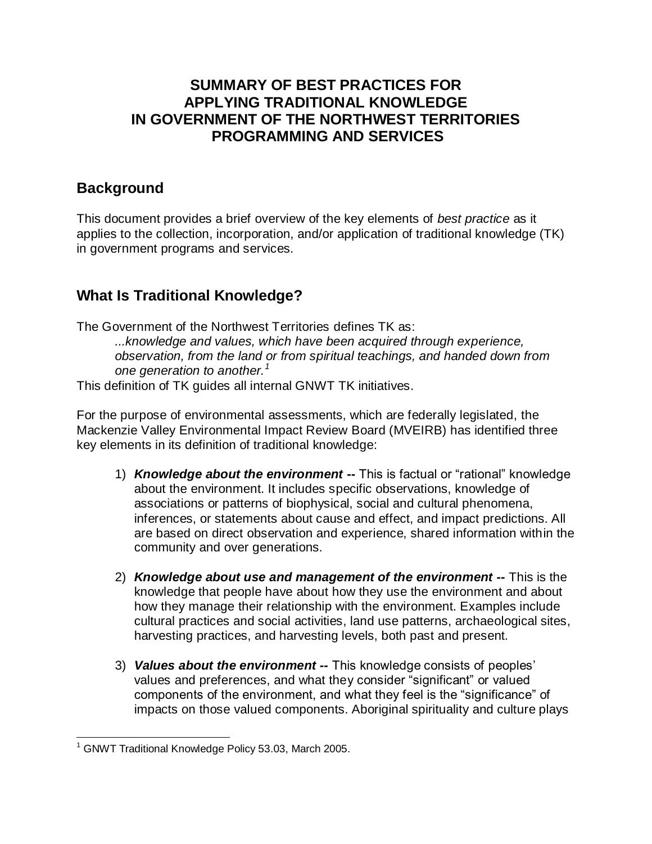## **SUMMARY OF BEST PRACTICES FOR APPLYING TRADITIONAL KNOWLEDGE IN GOVERNMENT OF THE NORTHWEST TERRITORIES PROGRAMMING AND SERVICES**

## **Background**

This document provides a brief overview of the key elements of *best practice* as it applies to the collection, incorporation, and/or application of traditional knowledge (TK) in government programs and services.

# **What Is Traditional Knowledge?**

The Government of the Northwest Territories defines TK as:

*...knowledge and values, which have been acquired through experience, observation, from the land or from spiritual teachings, and handed down from one generation to another.<sup>1</sup>*

This definition of TK guides all internal GNWT TK initiatives.

For the purpose of environmental assessments, which are federally legislated, the Mackenzie Valley Environmental Impact Review Board (MVEIRB) has identified three key elements in its definition of traditional knowledge:

- 1) *Knowledge about the environment --* This is factual or "rational" knowledge about the environment. It includes specific observations, knowledge of associations or patterns of biophysical, social and cultural phenomena, inferences, or statements about cause and effect, and impact predictions. All are based on direct observation and experience, shared information within the community and over generations.
- 2) *Knowledge about use and management of the environment --* This is the knowledge that people have about how they use the environment and about how they manage their relationship with the environment. Examples include cultural practices and social activities, land use patterns, archaeological sites, harvesting practices, and harvesting levels, both past and present.
- 3) *Values about the environment --* This knowledge consists of peoples' values and preferences, and what they consider "significant" or valued components of the environment, and what they feel is the "significance" of impacts on those valued components. Aboriginal spirituality and culture plays

 $\overline{a}$  $1$  GNWT Traditional Knowledge Policy 53.03, March 2005.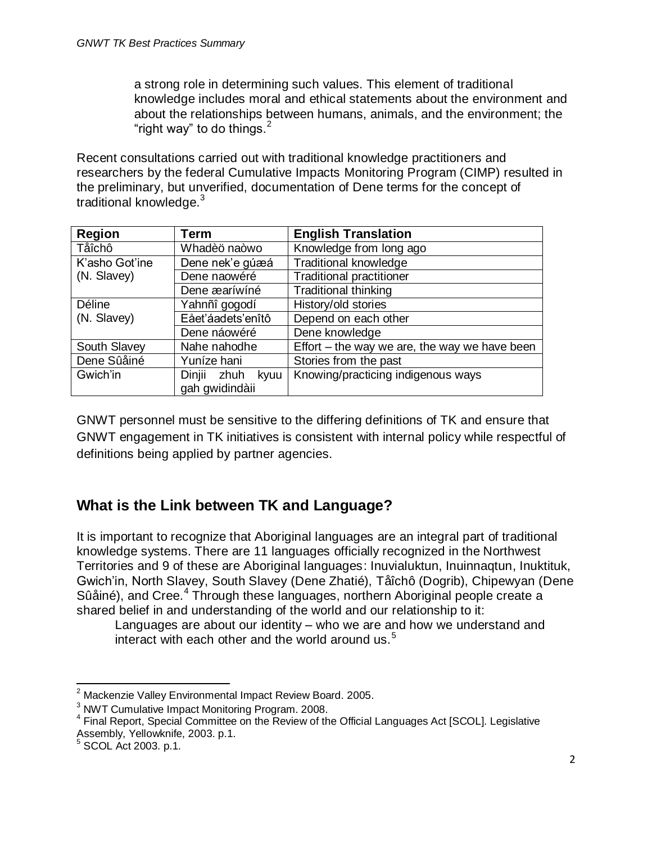a strong role in determining such values. This element of traditional knowledge includes moral and ethical statements about the environment and about the relationships between humans, animals, and the environment; the "right way" to do things.  $2^2$ 

Recent consultations carried out with traditional knowledge practitioners and researchers by the federal Cumulative Impacts Monitoring Program (CIMP) resulted in the preliminary, but unverified, documentation of Dene terms for the concept of traditional knowledge.<sup>3</sup>

| Region         | Term                   | <b>English Translation</b>                      |
|----------------|------------------------|-------------------------------------------------|
| Tåîchô         | Whadèö naòwo           | Knowledge from long ago                         |
| K'asho Got'ine | Dene nek'e gúæá        | <b>Traditional knowledge</b>                    |
| (N. Slavey)    | Dene naowéré           | <b>Traditional practitioner</b>                 |
|                | Dene æaríwíné          | <b>Traditional thinking</b>                     |
| Déline         | Yahnñî gogodí          | History/old stories                             |
| (N. Slavey)    | Eået'áadets'enîtô      | Depend on each other                            |
|                | Dene náowéré           | Dene knowledge                                  |
| South Slavey   | Nahe nahodhe           | Effort $-$ the way we are, the way we have been |
| Dene Sûåiné    | Yuníze hani            | Stories from the past                           |
| Gwich'in       | Dinjii<br>zhuh<br>kyuu | Knowing/practicing indigenous ways              |
|                | gah gwidindàii         |                                                 |

GNWT personnel must be sensitive to the differing definitions of TK and ensure that GNWT engagement in TK initiatives is consistent with internal policy while respectful of definitions being applied by partner agencies.

# **What is the Link between TK and Language?**

It is important to recognize that Aboriginal languages are an integral part of traditional knowledge systems. There are 11 languages officially recognized in the Northwest Territories and 9 of these are Aboriginal languages: Inuvialuktun, Inuinnaqtun, Inuktituk, Gwich'in, North Slavey, South Slavey (Dene Zhatié), Tåîchô (Dogrib), Chipewyan (Dene Sûåiné), and Cree.<sup>4</sup> Through these languages, northern Aboriginal people create a shared belief in and understanding of the world and our relationship to it:

Languages are about our identity – who we are and how we understand and interact with each other and the world around us.<sup>5</sup>

l <sup>2</sup> Mackenzie Valley Environmental Impact Review Board. 2005.

<sup>&</sup>lt;sup>3</sup> NWT Cumulative Impact Monitoring Program. 2008.

<sup>&</sup>lt;sup>4</sup> Final Report, Special Committee on the Review of the Official Languages Act [SCOL]. Legislative Assembly, Yellowknife, 2003. p.1.

<sup>5</sup> SCOL Act 2003. p.1.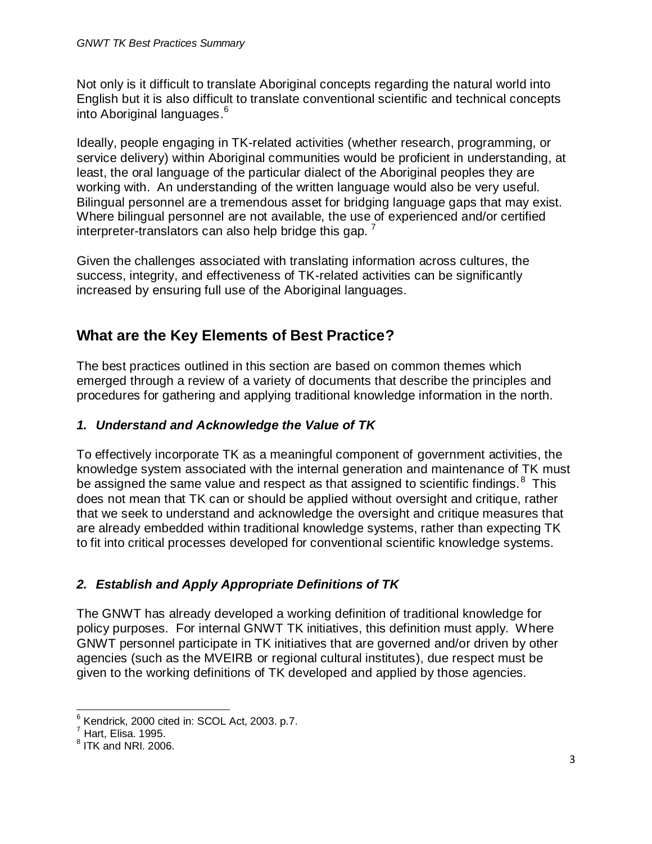Not only is it difficult to translate Aboriginal concepts regarding the natural world into English but it is also difficult to translate conventional scientific and technical concepts into Aboriginal languages. 6

Ideally, people engaging in TK-related activities (whether research, programming, or service delivery) within Aboriginal communities would be proficient in understanding, at least, the oral language of the particular dialect of the Aboriginal peoples they are working with. An understanding of the written language would also be very useful. Bilingual personnel are a tremendous asset for bridging language gaps that may exist. Where bilingual personnel are not available, the use of experienced and/or certified interpreter-translators can also help bridge this gap.  $^7$ 

Given the challenges associated with translating information across cultures, the success, integrity, and effectiveness of TK-related activities can be significantly increased by ensuring full use of the Aboriginal languages.

## **What are the Key Elements of Best Practice?**

The best practices outlined in this section are based on common themes which emerged through a review of a variety of documents that describe the principles and procedures for gathering and applying traditional knowledge information in the north.

### *1. Understand and Acknowledge the Value of TK*

To effectively incorporate TK as a meaningful component of government activities, the knowledge system associated with the internal generation and maintenance of TK must be assigned the same value and respect as that assigned to scientific findings.<sup>8</sup> This does not mean that TK can or should be applied without oversight and critique, rather that we seek to understand and acknowledge the oversight and critique measures that are already embedded within traditional knowledge systems, rather than expecting TK to fit into critical processes developed for conventional scientific knowledge systems.

## *2. Establish and Apply Appropriate Definitions of TK*

The GNWT has already developed a working definition of traditional knowledge for policy purposes. For internal GNWT TK initiatives, this definition must apply. Where GNWT personnel participate in TK initiatives that are governed and/or driven by other agencies (such as the MVEIRB or regional cultural institutes), due respect must be given to the working definitions of TK developed and applied by those agencies.

 $\overline{a}$  $6$  Kendrick, 2000 cited in: SCOL Act, 2003. p.7.

 $<sup>7</sup>$  Hart, Elisa. 1995.</sup>

 $^8$  ITK and NRI. 2006.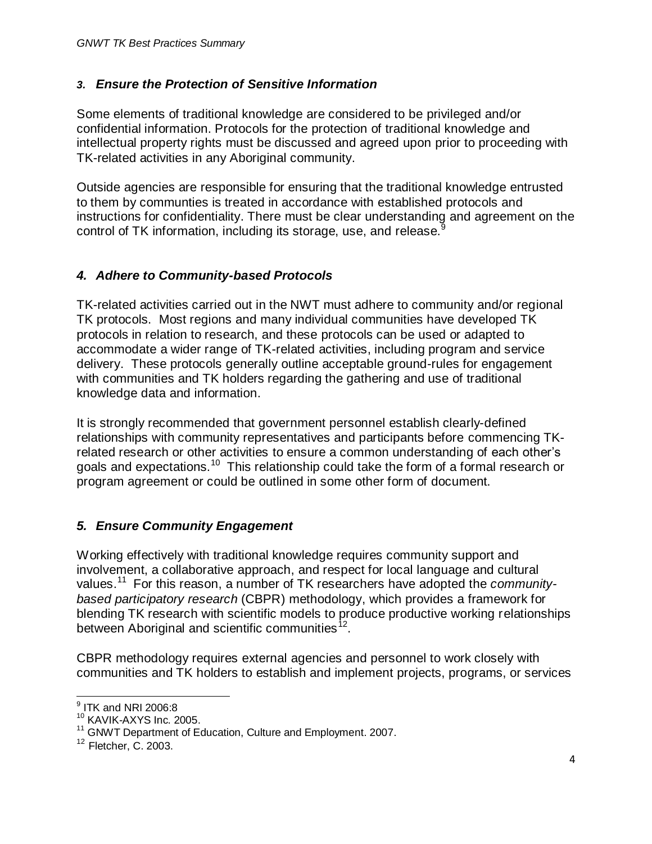#### *3. Ensure the Protection of Sensitive Information*

Some elements of traditional knowledge are considered to be privileged and/or confidential information. Protocols for the protection of traditional knowledge and intellectual property rights must be discussed and agreed upon prior to proceeding with TK-related activities in any Aboriginal community.

Outside agencies are responsible for ensuring that the traditional knowledge entrusted to them by communties is treated in accordance with established protocols and instructions for confidentiality. There must be clear understanding and agreement on the control of TK information, including its storage, use, and release.<sup>9</sup>

#### *4. Adhere to Community-based Protocols*

TK-related activities carried out in the NWT must adhere to community and/or regional TK protocols. Most regions and many individual communities have developed TK protocols in relation to research, and these protocols can be used or adapted to accommodate a wider range of TK-related activities, including program and service delivery. These protocols generally outline acceptable ground-rules for engagement with communities and TK holders regarding the gathering and use of traditional knowledge data and information.

It is strongly recommended that government personnel establish clearly-defined relationships with community representatives and participants before commencing TKrelated research or other activities to ensure a common understanding of each other's goals and expectations.<sup>10</sup> This relationship could take the form of a formal research or program agreement or could be outlined in some other form of document.

#### *5. Ensure Community Engagement*

Working effectively with traditional knowledge requires community support and involvement, a collaborative approach, and respect for local language and cultural values.<sup>11</sup> For this reason, a number of TK researchers have adopted the *communitybased participatory research* (CBPR) methodology, which provides a framework for blending TK research with scientific models to produce productive working relationships between Aboriginal and scientific communities<sup>12</sup>.

CBPR methodology requires external agencies and personnel to work closely with communities and TK holders to establish and implement projects, programs, or services

 $\overline{a}$  $^9$  ITK and NRI 2006:8

<sup>&</sup>lt;sup>10</sup> KAVIK-AXYS Inc. 2005.

<sup>11</sup> GNWT Department of Education, Culture and Employment. 2007.

<sup>12</sup> Fletcher, C. 2003.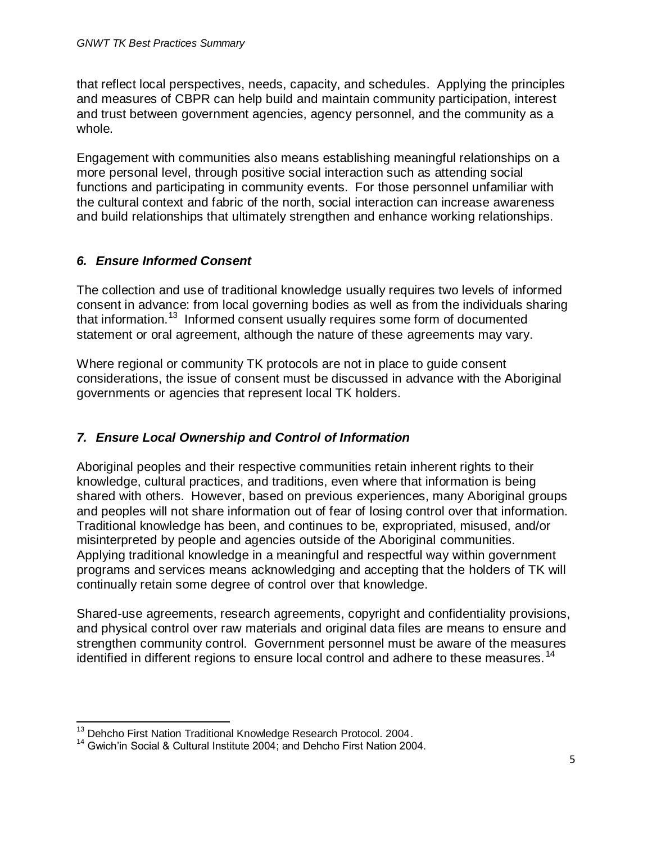that reflect local perspectives, needs, capacity, and schedules. Applying the principles and measures of CBPR can help build and maintain community participation, interest and trust between government agencies, agency personnel, and the community as a whole.

Engagement with communities also means establishing meaningful relationships on a more personal level, through positive social interaction such as attending social functions and participating in community events. For those personnel unfamiliar with the cultural context and fabric of the north, social interaction can increase awareness and build relationships that ultimately strengthen and enhance working relationships.

#### *6. Ensure Informed Consent*

The collection and use of traditional knowledge usually requires two levels of informed consent in advance: from local governing bodies as well as from the individuals sharing that information.<sup>13</sup> Informed consent usually requires some form of documented statement or oral agreement, although the nature of these agreements may vary.

Where regional or community TK protocols are not in place to guide consent considerations, the issue of consent must be discussed in advance with the Aboriginal governments or agencies that represent local TK holders.

## *7. Ensure Local Ownership and Control of Information*

Aboriginal peoples and their respective communities retain inherent rights to their knowledge, cultural practices, and traditions, even where that information is being shared with others. However, based on previous experiences, many Aboriginal groups and peoples will not share information out of fear of losing control over that information. Traditional knowledge has been, and continues to be, expropriated, misused, and/or misinterpreted by people and agencies outside of the Aboriginal communities. Applying traditional knowledge in a meaningful and respectful way within government programs and services means acknowledging and accepting that the holders of TK will continually retain some degree of control over that knowledge.

Shared-use agreements, research agreements, copyright and confidentiality provisions, and physical control over raw materials and original data files are means to ensure and strengthen community control. Government personnel must be aware of the measures identified in different regions to ensure local control and adhere to these measures.<sup>14</sup>

l  $13$  Dehcho First Nation Traditional Knowledge Research Protocol. 2004.

<sup>&</sup>lt;sup>14</sup> Gwich'in Social & Cultural Institute 2004; and Dehcho First Nation 2004.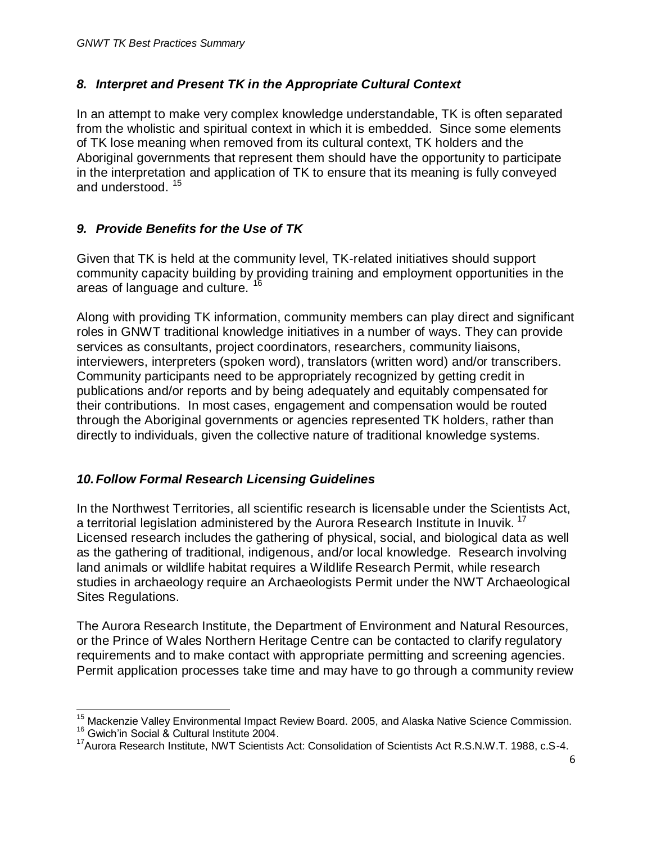#### *8. Interpret and Present TK in the Appropriate Cultural Context*

In an attempt to make very complex knowledge understandable, TK is often separated from the wholistic and spiritual context in which it is embedded. Since some elements of TK lose meaning when removed from its cultural context, TK holders and the Aboriginal governments that represent them should have the opportunity to participate in the interpretation and application of TK to ensure that its meaning is fully conveyed and understood.<sup>15</sup>

#### *9. Provide Benefits for the Use of TK*

Given that TK is held at the community level, TK-related initiatives should support community capacity building by providing training and employment opportunities in the areas of language and culture.<sup>16</sup>

Along with providing TK information, community members can play direct and significant roles in GNWT traditional knowledge initiatives in a number of ways. They can provide services as consultants, project coordinators, researchers, community liaisons, interviewers, interpreters (spoken word), translators (written word) and/or transcribers. Community participants need to be appropriately recognized by getting credit in publications and/or reports and by being adequately and equitably compensated for their contributions. In most cases, engagement and compensation would be routed through the Aboriginal governments or agencies represented TK holders, rather than directly to individuals, given the collective nature of traditional knowledge systems.

#### *10.Follow Formal Research Licensing Guidelines*

In the Northwest Territories, all scientific research is licensable under the Scientists Act, a territorial legislation administered by the Aurora Research Institute in Inuvik.<sup>17</sup> Licensed research includes the gathering of physical, social, and biological data as well as the gathering of traditional, indigenous, and/or local knowledge. Research involving land animals or wildlife habitat requires a Wildlife Research Permit, while research studies in archaeology require an Archaeologists Permit under the NWT Archaeological Sites Regulations.

The Aurora Research Institute, the Department of Environment and Natural Resources, or the Prince of Wales Northern Heritage Centre can be contacted to clarify regulatory requirements and to make contact with appropriate permitting and screening agencies. Permit application processes take time and may have to go through a community review

 $\overline{a}$ <sup>15</sup> Mackenzie Valley Environmental Impact Review Board. 2005, and Alaska Native Science Commission.

<sup>16</sup> Gwich'in Social & Cultural Institute 2004.

<sup>&</sup>lt;sup>17</sup> Aurora Research Institute, NWT Scientists Act: Consolidation of Scientists Act R.S.N.W.T. 1988, c.S-4.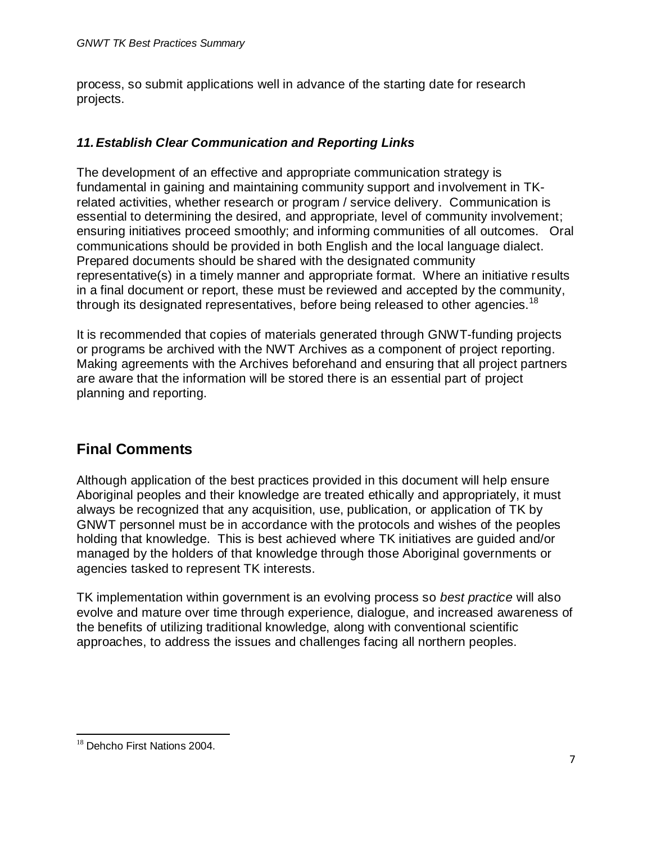process, so submit applications well in advance of the starting date for research projects.

#### *11.Establish Clear Communication and Reporting Links*

The development of an effective and appropriate communication strategy is fundamental in gaining and maintaining community support and involvement in TKrelated activities, whether research or program / service delivery. Communication is essential to determining the desired, and appropriate, level of community involvement; ensuring initiatives proceed smoothly; and informing communities of all outcomes. Oral communications should be provided in both English and the local language dialect. Prepared documents should be shared with the designated community representative(s) in a timely manner and appropriate format. Where an initiative results in a final document or report, these must be reviewed and accepted by the community, through its designated representatives, before being released to other agencies.<sup>18</sup>

It is recommended that copies of materials generated through GNWT-funding projects or programs be archived with the NWT Archives as a component of project reporting. Making agreements with the Archives beforehand and ensuring that all project partners are aware that the information will be stored there is an essential part of project planning and reporting.

## **Final Comments**

Although application of the best practices provided in this document will help ensure Aboriginal peoples and their knowledge are treated ethically and appropriately, it must always be recognized that any acquisition, use, publication, or application of TK by GNWT personnel must be in accordance with the protocols and wishes of the peoples holding that knowledge. This is best achieved where TK initiatives are guided and/or managed by the holders of that knowledge through those Aboriginal governments or agencies tasked to represent TK interests.

TK implementation within government is an evolving process so *best practice* will also evolve and mature over time through experience, dialogue, and increased awareness of the benefits of utilizing traditional knowledge, along with conventional scientific approaches, to address the issues and challenges facing all northern peoples.

 $\overline{a}$ <sup>18</sup> Dehcho First Nations 2004.